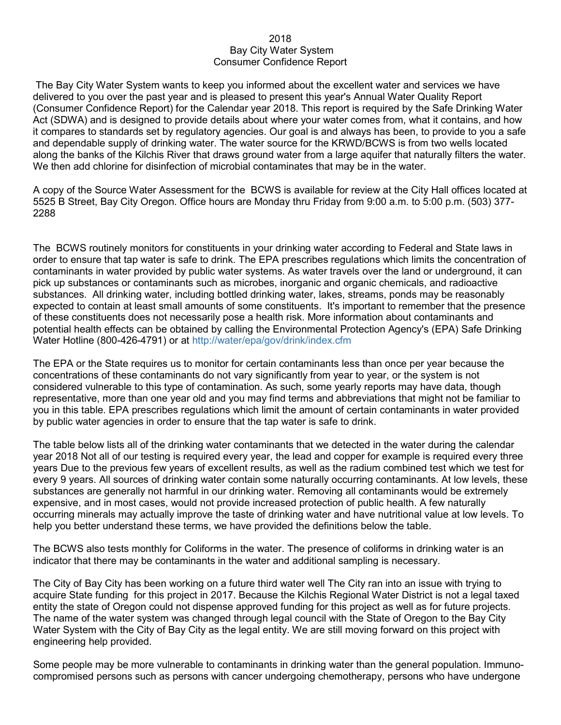## 2018 Bay City Water System Consumer Confidence Report

The Bay City Water System wants to keep you informed about the excellent water and services we have delivered to you over the past year and is pleased to present this year's Annual Water Quality Report (Consumer Confidence Report) for the Calendar year 2018. This report is required by the Safe Drinking Water Act (SDWA) and is designed to provide details about where your water comes from, what it contains, and how it compares to standards set by regulatory agencies. Our goal is and always has been, to provide to you a safe and dependable supply of drinking water. The water source for the KRWD/BCWS is from two wells located along the banks of the Kilchis River that draws ground water from a large aquifer that naturally filters the water. We then add chlorine for disinfection of microbial contaminates that may be in the water.

A copy of the Source Water Assessment for the BCWS is available for review at the City Hall offices located at 5525 B Street, Bay City Oregon. Office hours are Monday thru Friday from 9:00 a.m. to 5:00 p.m. (503) 377- 2288

The BCWS routinely monitors for constituents in your drinking water according to Federal and State laws in order to ensure that tap water is safe to drink. The EPA prescribes regulations which limits the concentration of contaminants in water provided by public water systems. As water travels over the land or underground, it can pick up substances or contaminants such as microbes, inorganic and organic chemicals, and radioactive substances. All drinking water, including bottled drinking water, lakes, streams, ponds may be reasonably expected to contain at least small amounts of some constituents. It's important to remember that the presence of these constituents does not necessarily pose a health risk. More information about contaminants and potential health effects can be obtained by calling the Environmental Protection Agency's (EPA) Safe Drinking Water Hotline (800-426-4791) or at http://water/epa/gov/drink/index.cfm

The EPA or the State requires us to monitor for certain contaminants less than once per year because the concentrations of these contaminants do not vary significantly from year to year, or the system is not considered vulnerable to this type of contamination. As such, some yearly reports may have data, though representative, more than one year old and you may find terms and abbreviations that might not be familiar to you in this table. EPA prescribes regulations which limit the amount of certain contaminants in water provided by public water agencies in order to ensure that the tap water is safe to drink.

The table below lists all of the drinking water contaminants that we detected in the water during the calendar year 2018 Not all of our testing is required every year, the lead and copper for example is required every three years Due to the previous few years of excellent results, as well as the radium combined test which we test for every 9 years. All sources of drinking water contain some naturally occurring contaminants. At low levels, these substances are generally not harmful in our drinking water. Removing all contaminants would be extremely expensive, and in most cases, would not provide increased protection of public health. A few naturally occurring minerals may actually improve the taste of drinking water and have nutritional value at low levels. To help you better understand these terms, we have provided the definitions below the table.

The BCWS also tests monthly for Coliforms in the water. The presence of coliforms in drinking water is an indicator that there may be contaminants in the water and additional sampling is necessary.

The City of Bay City has been working on a future third water well The City ran into an issue with trying to acquire State funding for this project in 2017. Because the Kilchis Regional Water District is not a legal taxed entity the state of Oregon could not dispense approved funding for this project as well as for future projects. The name of the water system was changed through legal council with the State of Oregon to the Bay City Water System with the City of Bay City as the legal entity. We are still moving forward on this project with engineering help provided.

Some people may be more vulnerable to contaminants in drinking water than the general population. Immunocompromised persons such as persons with cancer undergoing chemotherapy, persons who have undergone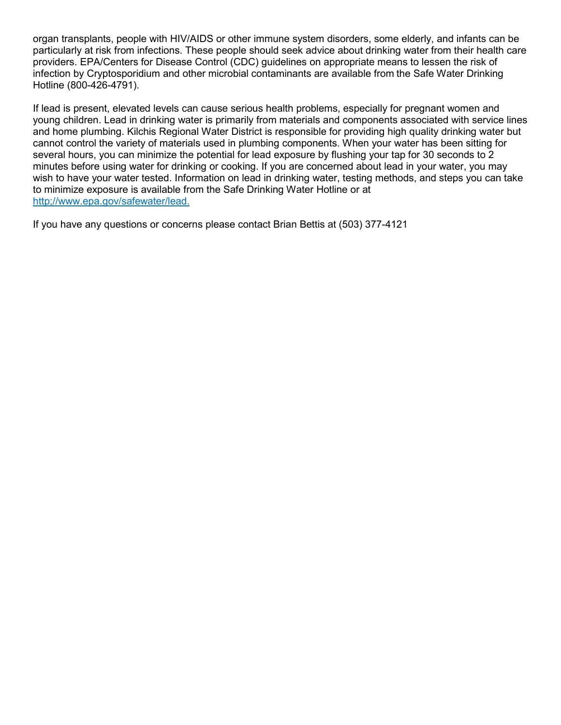organ transplants, people with HIV/AIDS or other immune system disorders, some elderly, and infants can be particularly at risk from infections. These people should seek advice about drinking water from their health care providers. EPA/Centers for Disease Control (CDC) guidelines on appropriate means to lessen the risk of infection by Cryptosporidium and other microbial contaminants are available from the Safe Water Drinking Hotline (800-426-4791).

If lead is present, elevated levels can cause serious health problems, especially for pregnant women and young children. Lead in drinking water is primarily from materials and components associated with service lines and home plumbing. Kilchis Regional Water District is responsible for providing high quality drinking water but cannot control the variety of materials used in plumbing components. When your water has been sitting for several hours, you can minimize the potential for lead exposure by flushing your tap for 30 seconds to 2 minutes before using water for drinking or cooking. If you are concerned about lead in your water, you may wish to have your water tested. Information on lead in drinking water, testing methods, and steps you can take to minimize exposure is available from the Safe Drinking Water Hotline or at http;//www.epa.gov/safewater/lead.

If you have any questions or concerns please contact Brian Bettis at (503) 377-4121